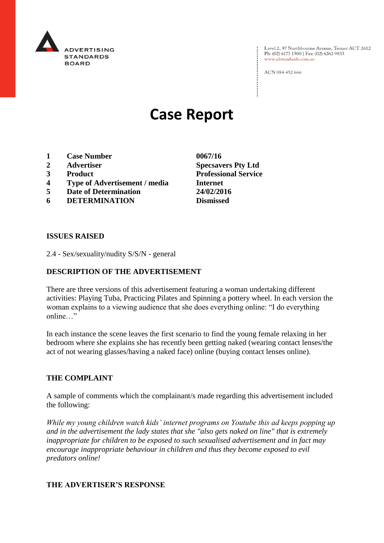

Level 2, 97 Northbourne Avenue, Turner ACT 2612<br>Ph: (02) 6173 1500 | Fax: (02) 6262 9833 www.adstandards.com.au

ACN 084 452 666

# **Case Report**

- **1 Case Number 0067/16**
- **2 Advertiser Specsavers Pty Ltd**
- **3 Product Professional Service**
- **4 Type of Advertisement / media Internet**
- **5 Date of Determination 24/02/2016**
- **6 DETERMINATION Dismissed**

**ISSUES RAISED**

2.4 - Sex/sexuality/nudity S/S/N - general

## **DESCRIPTION OF THE ADVERTISEMENT**

There are three versions of this advertisement featuring a woman undertaking different activities: Playing Tuba, Practicing Pilates and Spinning a pottery wheel. In each version the woman explains to a viewing audience that she does everything online: "I do everything online "

In each instance the scene leaves the first scenario to find the young female relaxing in her bedroom where she explains she has recently been getting naked (wearing contact lenses/the act of not wearing glasses/having a naked face) online (buying contact lenses online).

#### **THE COMPLAINT**

A sample of comments which the complainant/s made regarding this advertisement included the following:

*While my young children watch kids' internet programs on Youtube this ad keeps popping up and in the advertisement the lady states that she "also gets naked on line" that is extremely inappropriate for children to be exposed to such sexualised advertisement and in fact may encourage inappropriate behaviour in children and thus they become exposed to evil predators online!*

### **THE ADVERTISER'S RESPONSE**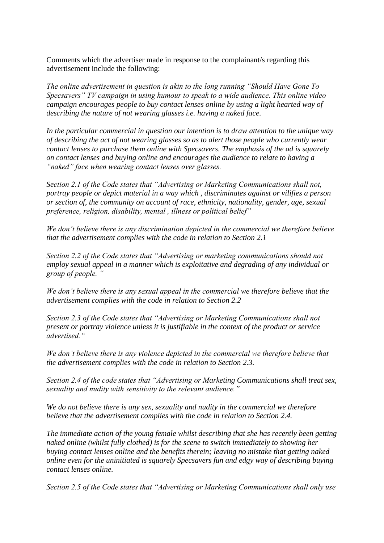Comments which the advertiser made in response to the complainant/s regarding this advertisement include the following:

*The online advertisement in question is akin to the long running "Should Have Gone To Specsavers" TV campaign in using humour to speak to a wide audience. This online video campaign encourages people to buy contact lenses online by using a light hearted way of describing the nature of not wearing glasses i.e. having a naked face.* 

*In the particular commercial in question our intention is to draw attention to the unique way of describing the act of not wearing glasses so as to alert those people who currently wear contact lenses to purchase them online with Specsavers. The emphasis of the ad is squarely on contact lenses and buying online and encourages the audience to relate to having a "naked" face when wearing contact lenses over glasses.*

*Section 2.1 of the Code states that "Advertising or Marketing Communications shall not, portray people or depict material in a way which , discriminates against or vilifies a person or section of, the community on account of race, ethnicity, nationality, gender, age, sexual preference, religion, disability, mental , illness or political belief"* 

*We don't believe there is any discrimination depicted in the commercial we therefore believe that the advertisement complies with the code in relation to Section 2.1*

*Section 2.2 of the Code states that "Advertising or marketing communications should not employ sexual appeal in a manner which is exploitative and degrading of any individual or group of people. "*

*We don't believe there is any sexual appeal in the commercial we therefore believe that the advertisement complies with the code in relation to Section 2.2*

*Section 2.3 of the Code states that "Advertising or Marketing Communications shall not present or portray violence unless it is justifiable in the context of the product or service advertised."* 

*We don't believe there is any violence depicted in the commercial we therefore believe that the advertisement complies with the code in relation to Section 2.3.*

*Section 2.4 of the code states that "Advertising or Marketing Communications shall treat sex, sexuality and nudity with sensitivity to the relevant audience."*

*We do not believe there is any sex, sexuality and nudity in the commercial we therefore believe that the advertisement complies with the code in relation to Section 2.4.*

*The immediate action of the young female whilst describing that she has recently been getting naked online (whilst fully clothed) is for the scene to switch immediately to showing her buying contact lenses online and the benefits therein; leaving no mistake that getting naked online even for the uninitiated is squarely Specsavers fun and edgy way of describing buying contact lenses online.*

*Section 2.5 of the Code states that "Advertising or Marketing Communications shall only use*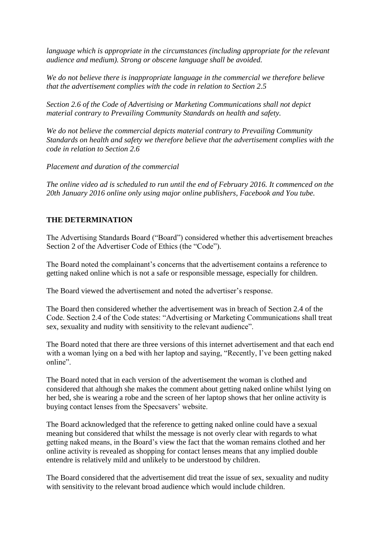*language which is appropriate in the circumstances (including appropriate for the relevant audience and medium). Strong or obscene language shall be avoided.*

*We do not believe there is inappropriate language in the commercial we therefore believe that the advertisement complies with the code in relation to Section 2.5*

*Section 2.6 of the Code of Advertising or Marketing Communications shall not depict material contrary to Prevailing Community Standards on health and safety.* 

*We do not believe the commercial depicts material contrary to Prevailing Community Standards on health and safety we therefore believe that the advertisement complies with the code in relation to Section 2.6*

*Placement and duration of the commercial*

*The online video ad is scheduled to run until the end of February 2016. It commenced on the 20th January 2016 online only using major online publishers, Facebook and You tube.*

## **THE DETERMINATION**

The Advertising Standards Board ("Board") considered whether this advertisement breaches Section 2 of the Advertiser Code of Ethics (the "Code").

The Board noted the complainant's concerns that the advertisement contains a reference to getting naked online which is not a safe or responsible message, especially for children.

The Board viewed the advertisement and noted the advertiser's response.

The Board then considered whether the advertisement was in breach of Section 2.4 of the Code. Section 2.4 of the Code states: "Advertising or Marketing Communications shall treat sex, sexuality and nudity with sensitivity to the relevant audience".

The Board noted that there are three versions of this internet advertisement and that each end with a woman lying on a bed with her laptop and saying, "Recently, I've been getting naked online".

The Board noted that in each version of the advertisement the woman is clothed and considered that although she makes the comment about getting naked online whilst lying on her bed, she is wearing a robe and the screen of her laptop shows that her online activity is buying contact lenses from the Specsavers' website.

The Board acknowledged that the reference to getting naked online could have a sexual meaning but considered that whilst the message is not overly clear with regards to what getting naked means, in the Board's view the fact that the woman remains clothed and her online activity is revealed as shopping for contact lenses means that any implied double entendre is relatively mild and unlikely to be understood by children.

The Board considered that the advertisement did treat the issue of sex, sexuality and nudity with sensitivity to the relevant broad audience which would include children.